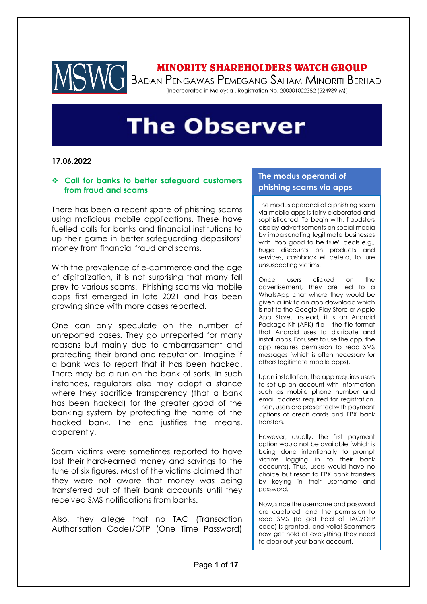

# **MINORITY SHAREHOLDERS WATCH GROUP**

T BADAN PENGAWAS PEMEGANG SAHAM MINORITI BERHAD (Incorporated in Malaysia . Registration No. 200001022382 (524989-M))

# **The Observer**

#### **17.06.2022**

### ❖ **Call for banks to better safeguard customers from fraud and scams**

There has been a recent spate of phishing scams using malicious mobile applications. These have fuelled calls for banks and financial institutions to up their game in better safeguarding depositors' money from financial fraud and scams.

With the prevalence of e-commerce and the age of digitalization, it is not surprising that many fall prey to various scams. Phishing scams via mobile apps first emerged in late 2021 and has been growing since with more cases reported.

One can only speculate on the number of unreported cases. They go unreported for many reasons but mainly due to embarrassment and protecting their brand and reputation. Imagine if a bank was to report that it has been hacked. There may be a run on the bank of sorts. In such instances, regulators also may adopt a stance where they sacrifice transparency (that a bank has been hacked) for the greater good of the banking system by protecting the name of the hacked bank. The end justifies the means, apparently.

Scam victims were sometimes reported to have lost their hard-earned money and savings to the tune of six figures. Most of the victims claimed that they were not aware that money was being transferred out of their bank accounts until they received SMS notifications from banks.

Also, they allege that no TAC (Transaction Authorisation Code)/OTP (One Time Password)

### **The modus operandi of phishing scams via apps**

The modus operandi of a phishing scam via mobile apps is fairly elaborated and sophisticated. To begin with, fraudsters display advertisements on social media by impersonating legitimate businesses with "too good to be true" deals e.g., huge discounts on products and services, cashback et cetera, to lure unsuspecting victims.

Once users clicked on the advertisement, they are led to a WhatsApp chat where they would be given a link to an app download which is not to the Google Play Store or Apple App Store. Instead, it is an Android Package Kit (APK) file – the file format that Android uses to distribute and install apps. For users to use the app, the app requires permission to read SMS messages (which is often necessary for others legitimate mobile apps).

Upon installation, the app requires users to set up an account with information such as mobile phone number and email address required for registration. Then, users are presented with payment options of credit cards and FPX bank transfers.

However, usually, the first payment option would not be available (which is being done intentionally to prompt victims logging in to their bank accounts). Thus, users would have no choice but resort to FPX bank transfers by keying in their username and password.

Now, since the username and password are captured, and the permission to read SMS (to get hold of TAC/OTP code) is granted, and voila! Scammers now get hold of everything they need to clear out your bank account.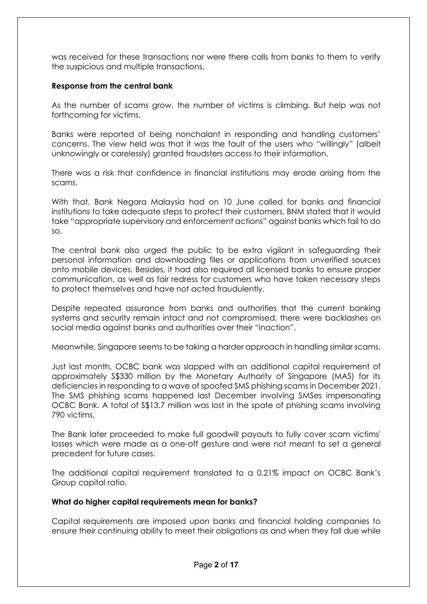was received for these transactions nor were there calls from banks to them to verify the suspicious and multiple transactions.

## **Response from the central bank**

As the number of scams grow, the number of victims is climbing. But help was not forthcoming for victims.

Banks were reported of being nonchalant in responding and handling customers' concerns. The view held was that it was the fault of the users who "willingly" (albeit unknowingly or carelessly) granted fraudsters access to their information.

There was a risk that confidence in financial institutions may erode arising from the scams.

With that, Bank Negara Malaysia had on 10 June called for banks and financial institutions to take adequate steps to protect their customers. BNM stated that it would take "appropriate supervisory and enforcement actions" against banks which fail to do so.

The central bank also urged the public to be extra vigilant in safeguarding their personal information and downloading files or applications from unverified sources onto mobile devices. Besides, it had also required all licensed banks to ensure proper communication, as well as fair redress for customers who have taken necessary steps to protect themselves and have not acted fraudulently.

Despite repeated assurance from banks and authorities that the current banking systems and security remain intact and not compromised, there were backlashes on social media against banks and authorities over their "inaction".

Meanwhile, Singapore seems to be taking a harder approach in handling similar scams.

Just last month, OCBC bank was slapped with an additional capital requirement of approximately S\$330 million by the Monetary Authority of Singapore (MAS) for its deficiencies in responding to a wave of spoofed SMS phishing scams in December 2021. The SMS phishing scams happened last December involving SMSes impersonating OCBC Bank. A total of S\$13.7 million was lost in the spate of phishing scams involving 790 victims.

The Bank later proceeded to make full goodwill payouts to fully cover scam victims' losses which were made as a one-off gesture and were not meant to set a general precedent for future cases.

The additional capital requirement translated to a 0.21% impact on OCBC Bank's Group capital ratio.

#### **What do higher capital requirements mean for banks?**

Capital requirements are imposed upon banks and financial holding companies to ensure their continuing ability to meet their obligations as and when they fall due while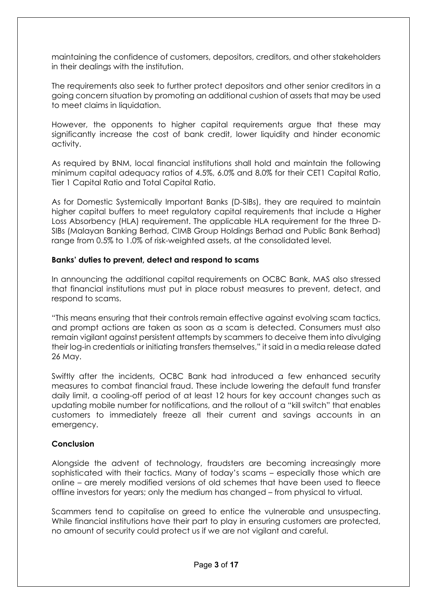maintaining the confidence of customers, depositors, creditors, and other stakeholders in their dealings with the institution.

The requirements also seek to further protect depositors and other senior creditors in a going concern situation by promoting an additional cushion of assets that may be used to meet claims in liquidation.

However, the opponents to higher capital requirements argue that these may significantly increase the cost of bank credit, lower liquidity and hinder economic activity.

As required by BNM, local financial institutions shall hold and maintain the following minimum capital adequacy ratios of 4.5%, 6.0% and 8.0% for their CET1 Capital Ratio, Tier 1 Capital Ratio and Total Capital Ratio.

As for Domestic Systemically Important Banks (D-SIBs), they are required to maintain higher capital buffers to meet regulatory capital requirements that include a Higher Loss Absorbency (HLA) requirement. The applicable HLA requirement for the three D-SIBs (Malayan Banking Berhad, CIMB Group Holdings Berhad and Public Bank Berhad) range from 0.5% to 1.0% of risk-weighted assets, at the consolidated level.

#### **Banks' duties to prevent, detect and respond to scams**

In announcing the additional capital requirements on OCBC Bank, MAS also stressed that financial institutions must put in place robust measures to prevent, detect, and respond to scams.

"This means ensuring that their controls remain effective against evolving scam tactics, and prompt actions are taken as soon as a scam is detected. Consumers must also remain vigilant against persistent attempts by scammers to deceive them into divulging their log-in credentials or initiating transfers themselves," it said in a media release dated 26 May.

Swiftly after the incidents, OCBC Bank had introduced a few enhanced security measures to combat financial fraud. These include lowering the default fund transfer daily limit, a cooling-off period of at least 12 hours for key account changes such as updating mobile number for notifications, and the rollout of a "kill switch" that enables customers to immediately freeze all their current and savings accounts in an emergency.

#### **Conclusion**

Alongside the advent of technology, fraudsters are becoming increasingly more sophisticated with their tactics. Many of today's scams – especially those which are online – are merely modified versions of old schemes that have been used to fleece offline investors for years; only the medium has changed – from physical to virtual.

Scammers tend to capitalise on greed to entice the vulnerable and unsuspecting. While financial institutions have their part to play in ensuring customers are protected, no amount of security could protect us if we are not vigilant and careful.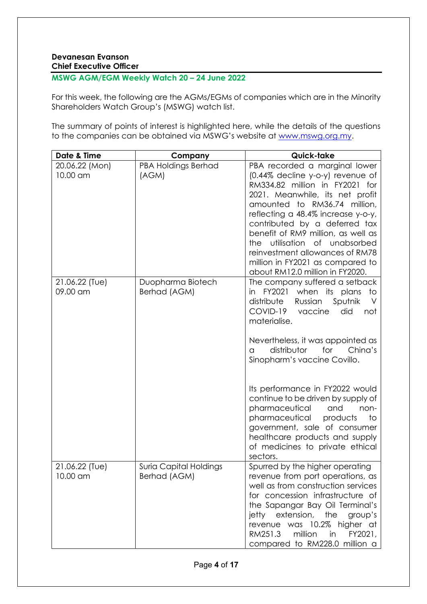## **Devanesan Evanson Chief Executive Officer**

## **MSWG AGM/EGM Weekly Watch 20 – 24 June 2022**

For this week, the following are the AGMs/EGMs of companies which are in the Minority Shareholders Watch Group's (MSWG) watch list.

The summary of points of interest is highlighted here, while the details of the questions to the companies can be obtained via MSWG's website at [www.mswg.org.my.](http://www.mswg.org.my/)

| Date & Time                | Company                                | Quick-take                                                                                                                                                                                                                                                                                                                                                                                                                                                                                                                   |
|----------------------------|----------------------------------------|------------------------------------------------------------------------------------------------------------------------------------------------------------------------------------------------------------------------------------------------------------------------------------------------------------------------------------------------------------------------------------------------------------------------------------------------------------------------------------------------------------------------------|
| 20.06.22 (Mon)<br>10.00 am | <b>PBA Holdings Berhad</b><br>(AGM)    | PBA recorded a marginal lower<br>(0.44% decline y-o-y) revenue of<br>RM334.82 million in FY2021 for<br>2021. Meanwhile, its net profit<br>amounted to RM36.74 million,<br>reflecting a 48.4% increase y-o-y,<br>contributed by a deferred tax<br>benefit of RM9 million, as well as<br>utilisation of unabsorbed<br>the<br>reinvestment allowances of RM78<br>million in FY2021 as compared to<br>about RM12.0 million in FY2020.                                                                                            |
| 21.06.22 (Tue)<br>09.00 am | Duopharma Biotech<br>Berhad (AGM)      | The company suffered a setback<br>FY2021 when its plans<br>to<br>in<br>distribute<br>Russian<br>Sputnik<br>V<br>COVID-19 vaccine<br>did<br>not<br>materialise.<br>Nevertheless, it was appointed as<br>distributor<br>for<br>China's<br>a<br>Sinopharm's vaccine Covillo.<br>Its performance in FY2022 would<br>continue to be driven by supply of<br>pharmaceutical<br>and<br>non-<br>pharmaceutical<br>products<br>to<br>government, sale of consumer<br>healthcare products and supply<br>of medicines to private ethical |
| 21.06.22 (Tue)<br>10.00 am | Suria Capital Holdings<br>Berhad (AGM) | sectors.<br>Spurred by the higher operating<br>revenue from port operations, as<br>well as from construction services<br>for concession infrastructure of<br>the Sapangar Bay Oil Terminal's<br>jetty extension,<br>the<br>group's<br>revenue was 10.2% higher at<br>RM251.3<br>million<br>in<br>FY2021,<br>compared to RM228.0 million a                                                                                                                                                                                    |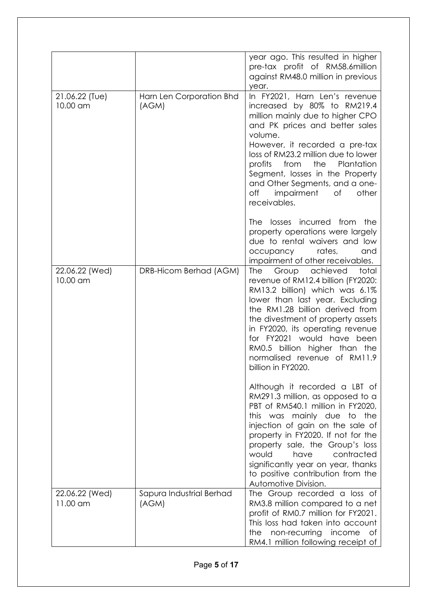|                            |                                   | year ago. This resulted in higher<br>pre-tax profit of RM58.6million<br>against RM48.0 million in previous<br>year.                                                                                                                                                                                                                                                                     |
|----------------------------|-----------------------------------|-----------------------------------------------------------------------------------------------------------------------------------------------------------------------------------------------------------------------------------------------------------------------------------------------------------------------------------------------------------------------------------------|
| 21.06.22 (Tue)<br>10.00 am | Harn Len Corporation Bhd<br>(AGM) | In FY2021, Harn Len's revenue<br>increased by 80% to RM219.4<br>million mainly due to higher CPO<br>and PK prices and better sales<br>volume.<br>However, it recorded a pre-tax<br>loss of RM23.2 million due to lower<br>the<br>profits<br>from<br>Plantation<br>Segment, losses in the Property<br>and Other Segments, and a one-<br>off<br>impairment<br>other<br>Оf<br>receivables. |
|                            |                                   | <b>The</b><br>losses incurred from<br>the<br>property operations were largely<br>due to rental waivers and low<br>rates,<br>occupancy<br>and<br>impairment of other receivables.                                                                                                                                                                                                        |
| 22.06.22 (Wed)<br>10.00 am | DRB-Hicom Berhad (AGM)            | Group achieved<br>The<br>total<br>revenue of RM12.4 billion (FY2020:<br>RM13.2 billion) which was 6.1%<br>lower than last year. Excluding<br>the RM1.28 billion derived from<br>the divestment of property assets<br>in FY2020, its operating revenue<br>for FY2021 would have been<br>RM0.5 billion higher than the<br>normalised revenue of RM11.9<br>billion in FY2020.              |
|                            |                                   | Although it recorded a LBT of<br>RM291.3 million, as opposed to a<br>PBT of RM540.1 million in FY2020,<br>this was mainly due<br>to the<br>injection of gain on the sale of<br>property in FY2020. If not for the<br>property sale, the Group's loss<br>contracted<br>would<br>have<br>significantly year on year, thanks<br>to positive contribution from the<br>Automotive Division.  |
| 22.06.22 (Wed)<br>11.00 am | Sapura Industrial Berhad<br>(AGM) | The Group recorded a loss of<br>RM3.8 million compared to a net<br>profit of RM0.7 million for FY2021.<br>This loss had taken into account<br>non-recurring income<br>the<br>Οf<br>RM4.1 million following receipt of                                                                                                                                                                   |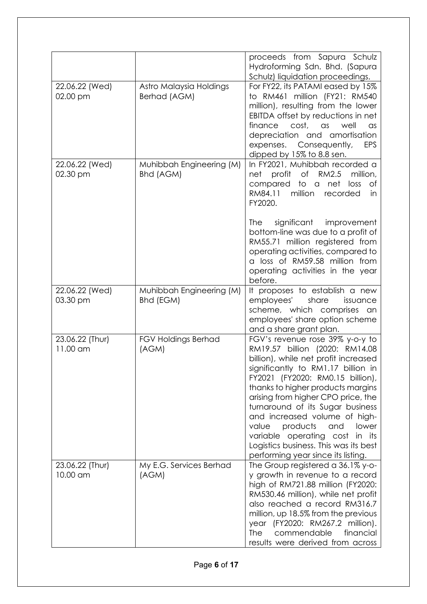|                             |                                         | proceeds from Sapura Schulz<br>Hydroforming Sdn. Bhd. (Sapura<br>Schulz) liquidation proceedings.                                                                                                                                                                                                                                                                                                                                                                                         |
|-----------------------------|-----------------------------------------|-------------------------------------------------------------------------------------------------------------------------------------------------------------------------------------------------------------------------------------------------------------------------------------------------------------------------------------------------------------------------------------------------------------------------------------------------------------------------------------------|
| 22.06.22 (Wed)<br>02.00 pm  | Astro Malaysia Holdings<br>Berhad (AGM) | For FY22, its PATAMI eased by 15%<br>to RM461 million (FY21: RM540<br>million), resulting from the lower<br>EBITDA offset by reductions in net<br>cost, as<br>finance<br>well<br>$\alpha$ s<br>depreciation and amortisation<br>Consequently,<br><b>EPS</b><br>expenses.<br>dipped by 15% to 8.8 sen.                                                                                                                                                                                     |
| 22.06.22 (Wed)<br>02.30 pm  | Muhibbah Engineering (M)<br>Bhd (AGM)   | In FY2021, Muhibbah recorded a<br>net profit of RM2.5<br>million,<br>compared<br>to a<br>net<br>loss<br>of<br>RM84.11<br>million<br>recorded<br>in<br>FY2020.                                                                                                                                                                                                                                                                                                                             |
|                             |                                         | significant<br>The<br>improvement<br>bottom-line was due to a profit of<br>RM55.71 million registered from<br>operating activities, compared to<br>a loss of RM59.58 million from<br>operating activities in the year<br>before.                                                                                                                                                                                                                                                          |
| 22.06.22 (Wed)<br>03.30 pm  | Muhibbah Engineering (M)<br>Bhd (EGM)   | It proposes to establish a new<br>employees'<br>share<br>issuance<br>scheme, which comprises an<br>employees' share option scheme<br>and a share grant plan.                                                                                                                                                                                                                                                                                                                              |
| 23.06.22 (Thur)<br>11.00 am | <b>FGV Holdings Berhad</b><br>(AGM)     | FGV's revenue rose 39% y-o-y to<br>RM19.57 billion (2020: RM14.08<br>billion), while net profit increased<br>significantly to RM1.17 billion in<br>FY2021 (FY2020: RM0.15 billion),<br>thanks to higher products margins<br>arising from higher CPO price, the<br>turnaround of its Sugar business<br>and increased volume of high-<br>products<br>value<br>and<br>lower<br>variable operating cost in its<br>Logistics business. This was its best<br>performing year since its listing. |
| 23.06.22 (Thur)<br>10.00 am | My E.G. Services Berhad<br>(AGM)        | The Group registered a 36.1% y-o-<br>y growth in revenue to a record<br>high of RM721.88 million (FY2020:<br>RM530.46 million), while net profit<br>also reached a record RM316.7<br>million, up 18.5% from the previous<br>year (FY2020: RM267.2 million).<br>commendable<br>financial<br><b>The</b><br>results were derived from across                                                                                                                                                 |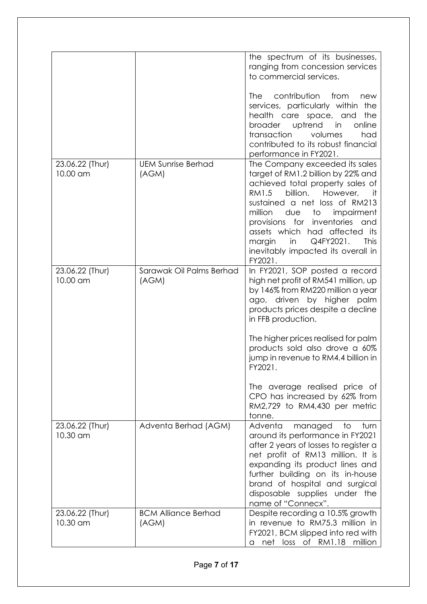|                             |                                     | the spectrum of its businesses,<br>ranging from concession services<br>to commercial services.<br>The<br>contribution<br>from<br>new<br>services, particularly within<br>the<br>the<br>health care space, and<br>broader uptrend in<br>online<br>transaction<br>volumes<br>had<br>contributed to its robust financial<br>performance in FY2021.                                       |
|-----------------------------|-------------------------------------|---------------------------------------------------------------------------------------------------------------------------------------------------------------------------------------------------------------------------------------------------------------------------------------------------------------------------------------------------------------------------------------|
| 23.06.22 (Thur)<br>10.00 am | <b>UEM Sunrise Berhad</b><br>(AGM)  | The Company exceeded its sales<br>target of RM1.2 billion by 22% and<br>achieved total property sales of<br>billion. However,<br>RM1.5<br>it it<br>sustained a net loss of RM213<br>million<br>due<br>to<br>impairment<br>provisions for<br>inventories<br>and<br>assets which had affected its<br>Q4FY2021.<br>This<br>margin<br>in<br>inevitably impacted its overall in<br>FY2021. |
| 23.06.22 (Thur)<br>10.00 am | Sarawak Oil Palms Berhad<br>(AGM)   | In FY2021, SOP posted a record<br>high net profit of RM541 million, up<br>by 146% from RM220 million a year<br>ago, driven by higher palm<br>products prices despite a decline<br>in FFB production.<br>The higher prices realised for palm<br>products sold also drove a 60%<br>jump in revenue to RM4.4 billion in<br>FY2021.                                                       |
|                             |                                     | The average realised price of<br>CPO has increased by 62% from<br>RM2,729 to RM4,430 per metric<br>tonne.                                                                                                                                                                                                                                                                             |
| 23.06.22 (Thur)<br>10.30 am | Adventa Berhad (AGM)                | Adventa<br>managed<br>to<br>turn<br>around its performance in FY2021<br>after 2 years of losses to register a<br>net profit of RM13 million. It is<br>expanding its product lines and<br>further building on its in-house<br>brand of hospital and surgical<br>disposable supplies under the<br>name of "Connecx".                                                                    |
| 23.06.22 (Thur)<br>10.30 am | <b>BCM Alliance Berhad</b><br>(AGM) | Despite recording a 10.5% growth<br>in revenue to RM75.3 million in<br>FY2021, BCM slipped into red with<br>net loss of RM1.18 million<br>a.                                                                                                                                                                                                                                          |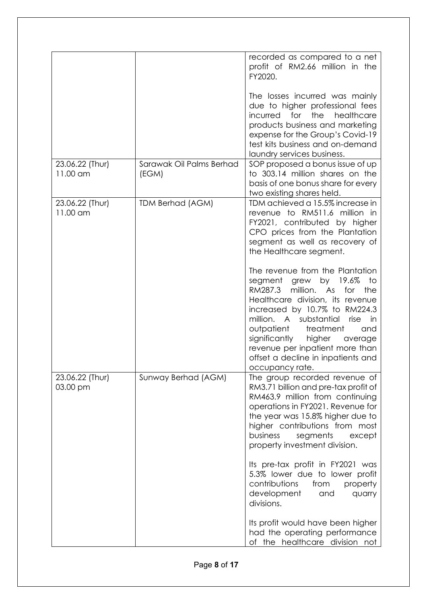|                             |                                   | recorded as compared to a net<br>profit of RM2.66 million in the<br>FY2020.                                                                                                                                                                                                                                                                                                                                                                                            |
|-----------------------------|-----------------------------------|------------------------------------------------------------------------------------------------------------------------------------------------------------------------------------------------------------------------------------------------------------------------------------------------------------------------------------------------------------------------------------------------------------------------------------------------------------------------|
|                             |                                   | The losses incurred was mainly<br>due to higher professional fees<br>the<br>incurred for<br>healthcare<br>products business and marketing<br>expense for the Group's Covid-19<br>test kits business and on-demand<br>laundry services business.                                                                                                                                                                                                                        |
| 23.06.22 (Thur)<br>11.00 am | Sarawak Oil Palms Berhad<br>(EGM) | SOP proposed a bonus issue of up<br>to 303.14 million shares on the<br>basis of one bonus share for every<br>two existing shares held.                                                                                                                                                                                                                                                                                                                                 |
| 23.06.22 (Thur)<br>11.00 am | <b>TDM Berhad (AGM)</b>           | TDM achieved a 15.5% increase in<br>revenue to RM511.6 million in<br>FY2021, contributed by higher<br>CPO prices from the Plantation<br>segment as well as recovery of<br>the Healthcare segment.<br>The revenue from the Plantation<br>grew by 19.6%<br>to<br>segment<br>RM287.3<br>million.<br>As<br>for<br>the<br>Healthcare division, its revenue<br>increased by 10.7% to RM224.3<br>substantial<br>million.<br>A<br>rise<br>in<br>outpatient<br>treatment<br>and |
|                             |                                   | significantly<br>higher<br>average<br>revenue per inpatient more than<br>offset a decline in inpatients and<br>occupancy rate.                                                                                                                                                                                                                                                                                                                                         |
| 23.06.22 (Thur)<br>03.00 pm | Sunway Berhad (AGM)               | The group recorded revenue of<br>RM3.71 billion and pre-tax profit of<br>RM463.9 million from continuing<br>operations in FY2021. Revenue for<br>the year was 15.8% higher due to<br>higher contributions from most<br>business<br>segments<br>except<br>property investment division.                                                                                                                                                                                 |
|                             |                                   | Its pre-tax profit in FY2021 was<br>5.3% lower due to lower profit<br>contributions<br>from<br>property<br>development<br>and<br>quarry<br>divisions.                                                                                                                                                                                                                                                                                                                  |
|                             |                                   | Its profit would have been higher<br>had the operating performance<br>of the healthcare division not                                                                                                                                                                                                                                                                                                                                                                   |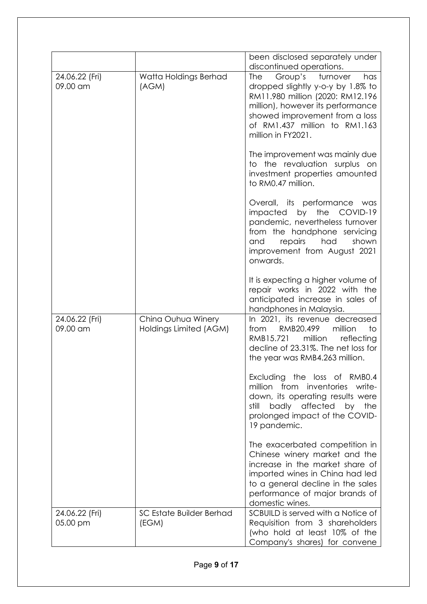|                            |                                              | been disclosed separately under<br>discontinued operations.                                                                                                                                                                                                                |
|----------------------------|----------------------------------------------|----------------------------------------------------------------------------------------------------------------------------------------------------------------------------------------------------------------------------------------------------------------------------|
| 24.06.22 (Fri)<br>09.00 am | Watta Holdings Berhad<br>(AGM)               | Group's<br>The<br>turnover<br>has<br>dropped slightly y-o-y by 1.8% to<br>RM11.980 million (2020: RM12.196<br>million), however its performance<br>showed improvement from a loss<br>of RM1.437 million to RM1.163<br>million in FY2021.<br>The improvement was mainly due |
|                            |                                              | to the revaluation surplus on<br>investment properties amounted<br>to RM0.47 million.                                                                                                                                                                                      |
|                            |                                              | Overall, its performance was<br>by the<br>impacted<br>COVID-19<br>pandemic, nevertheless turnover<br>from the handphone servicing<br>repairs<br>had<br>shown<br>and<br>improvement from August 2021<br>onwards.                                                            |
|                            |                                              | It is expecting a higher volume of<br>repair works in 2022 with the<br>anticipated increase in sales of<br>handphones in Malaysia.                                                                                                                                         |
| 24.06.22 (Fri)<br>09.00 am | China Ouhua Winery<br>Holdings Limited (AGM) | In 2021, its revenue decreased<br>RMB20.499<br>million<br>to<br>from<br>million<br>reflecting<br>RMB15.721<br>decline of 23.31%. The net loss for<br>the year was RMB4.263 million.                                                                                        |
|                            |                                              | Excluding the loss of RMB0.4<br>million from inventories write-<br>down, its operating results were<br>badly affected by<br>the<br>still<br>prolonged impact of the COVID-<br>19 pandemic.                                                                                 |
|                            |                                              | The exacerbated competition in<br>Chinese winery market and the<br>increase in the market share of<br>imported wines in China had led<br>to a general decline in the sales<br>performance of major brands of<br>domestic wines.                                            |
| 24.06.22 (Fri)<br>05.00 pm | <b>SC Estate Builder Berhad</b><br>(EGM)     | SCBUILD is served with a Notice of<br>Requisition from 3 shareholders<br>(who hold at least 10% of the<br>Company's shares) for convene                                                                                                                                    |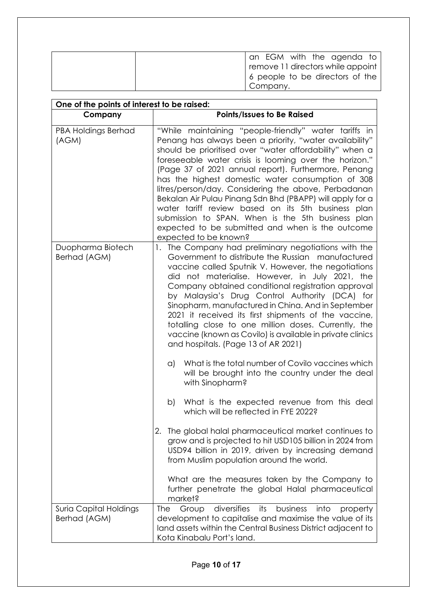|  | an EGM with the agenda to<br>remove 11 directors while appoint<br>6 people to be directors of the |
|--|---------------------------------------------------------------------------------------------------|
|  | Company.                                                                                          |

| One of the points of interest to be raised:   |                                                                                                                                                                                                                                                                                                                                                                                                                                                                                                                                                                                                                                                                 |  |
|-----------------------------------------------|-----------------------------------------------------------------------------------------------------------------------------------------------------------------------------------------------------------------------------------------------------------------------------------------------------------------------------------------------------------------------------------------------------------------------------------------------------------------------------------------------------------------------------------------------------------------------------------------------------------------------------------------------------------------|--|
| Company                                       | <b>Points/Issues to Be Raised</b>                                                                                                                                                                                                                                                                                                                                                                                                                                                                                                                                                                                                                               |  |
| <b>PBA Holdings Berhad</b><br>(AGM)           | "While maintaining "people-friendly" water tariffs in<br>Penang has always been a priority, "water availability"<br>should be prioritised over "water affordability" when a<br>foreseeable water crisis is looming over the horizon."<br>(Page 37 of 2021 annual report). Furthermore, Penang<br>has the highest domestic water consumption of 308<br>litres/person/day. Considering the above, Perbadanan<br>Bekalan Air Pulau Pinang Sdn Bhd (PBAPP) will apply for a<br>water tariff review based on its 5th business plan<br>submission to SPAN. When is the 5th business plan<br>expected to be submitted and when is the outcome<br>expected to be known? |  |
| Duopharma Biotech<br>Berhad (AGM)             | 1. The Company had preliminary negotiations with the<br>Government to distribute the Russian manufactured<br>vaccine called Sputnik V. However, the negotiations<br>did not materialise. However, in July 2021, the<br>Company obtained conditional registration approval<br>by Malaysia's Drug Control Authority (DCA) for<br>Sinopharm, manufactured in China. And in September<br>2021 it received its first shipments of the vaccine,<br>totalling close to one million doses. Currently, the<br>vaccine (known as Covilo) is available in private clinics<br>and hospitals. (Page 13 of AR 2021)                                                           |  |
|                                               | What is the total number of Covilo vaccines which<br>$\alpha$<br>will be brought into the country under the deal<br>with Sinopharm?                                                                                                                                                                                                                                                                                                                                                                                                                                                                                                                             |  |
|                                               | What is the expected revenue from this deal<br>b)<br>which will be reflected in FYE 2022?                                                                                                                                                                                                                                                                                                                                                                                                                                                                                                                                                                       |  |
|                                               | The global halal pharmaceutical market continues to<br>2.<br>grow and is projected to hit USD105 billion in 2024 from<br>USD94 billion in 2019, driven by increasing demand<br>from Muslim population around the world.                                                                                                                                                                                                                                                                                                                                                                                                                                         |  |
|                                               | What are the measures taken by the Company to<br>further penetrate the global Halal pharmaceutical<br>market?                                                                                                                                                                                                                                                                                                                                                                                                                                                                                                                                                   |  |
| <b>Suria Capital Holdings</b><br>Berhad (AGM) | diversifies<br>its<br>business<br>into<br><b>The</b><br>Group<br>property<br>development to capitalise and maximise the value of its<br>land assets within the Central Business District adjacent to<br>Kota Kinabalu Port's land.                                                                                                                                                                                                                                                                                                                                                                                                                              |  |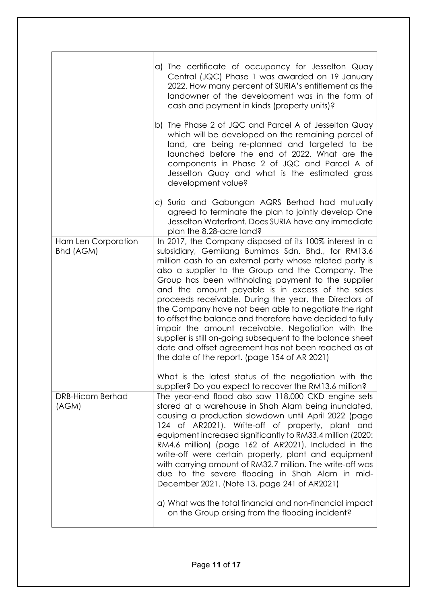|                                   | a) The certificate of occupancy for Jesselton Quay<br>Central (JQC) Phase 1 was awarded on 19 January<br>2022. How many percent of SURIA's entitlement as the<br>landowner of the development was in the form of<br>cash and payment in kinds (property units)?<br>b) The Phase 2 of JQC and Parcel A of Jesselton Quay<br>which will be developed on the remaining parcel of<br>land, are being re-planned and targeted to be<br>launched before the end of 2022. What are the<br>components in Phase 2 of JQC and Parcel A of<br>Jesselton Quay and what is the estimated gross<br>development value?                                                                                                                                                                                                 |
|-----------------------------------|---------------------------------------------------------------------------------------------------------------------------------------------------------------------------------------------------------------------------------------------------------------------------------------------------------------------------------------------------------------------------------------------------------------------------------------------------------------------------------------------------------------------------------------------------------------------------------------------------------------------------------------------------------------------------------------------------------------------------------------------------------------------------------------------------------|
|                                   | c) Suria and Gabungan AQRS Berhad had mutually<br>agreed to terminate the plan to jointly develop One<br>Jesselton Waterfront. Does SURIA have any immediate<br>plan the 8.28-acre land?                                                                                                                                                                                                                                                                                                                                                                                                                                                                                                                                                                                                                |
| Harn Len Corporation<br>Bhd (AGM) | In 2017, the Company disposed of its 100% interest in a<br>subsidiary, Gemilang Bumimas Sdn. Bhd., for RM13.6<br>million cash to an external party whose related party is<br>also a supplier to the Group and the Company. The<br>Group has been withholding payment to the supplier<br>and the amount payable is in excess of the sales<br>proceeds receivable. During the year, the Directors of<br>the Company have not been able to negotiate the right<br>to offset the balance and therefore have decided to fully<br>impair the amount receivable. Negotiation with the<br>supplier is still on-going subsequent to the balance sheet<br>date and offset agreement has not been reached as at<br>the date of the report. (page 154 of AR 2021)                                                   |
| <b>DRB-Hicom Berhad</b><br>(AGM)  | What is the latest status of the negotiation with the<br>supplier? Do you expect to recover the RM13.6 million?<br>The year-end flood also saw 118,000 CKD engine sets<br>stored at a warehouse in Shah Alam being inundated,<br>causing a production slowdown until April 2022 (page<br>124 of AR2021). Write-off of property, plant and<br>equipment increased significantly to RM33.4 million (2020:<br>RM4.6 million) (page 162 of AR2021). Included in the<br>write-off were certain property, plant and equipment<br>with carrying amount of RM32.7 million. The write-off was<br>due to the severe flooding in Shah Alam in mid-<br>December 2021. (Note 13, page 241 of AR2021)<br>a) What was the total financial and non-financial impact<br>on the Group arising from the flooding incident? |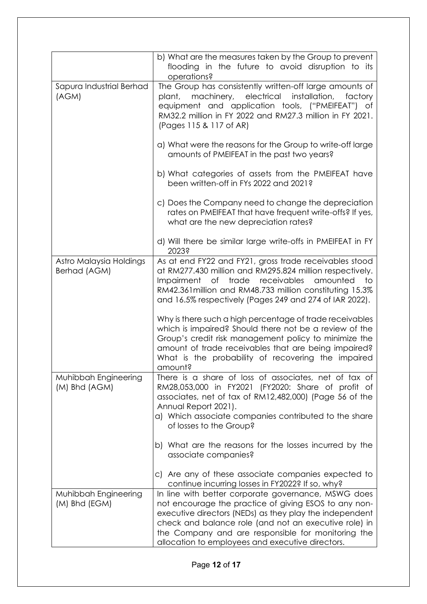|                                         | b) What are the measures taken by the Group to prevent<br>flooding in the future to avoid disruption to its<br>operations?                                                                                                                                                                                                                 |
|-----------------------------------------|--------------------------------------------------------------------------------------------------------------------------------------------------------------------------------------------------------------------------------------------------------------------------------------------------------------------------------------------|
| Sapura Industrial Berhad<br>(AGM)       | The Group has consistently written-off large amounts of<br>plant, machinery, electrical installation, factory<br>equipment and application tools, ("PMEIFEAT") of<br>RM32.2 million in FY 2022 and RM27.3 million in FY 2021.<br>(Pages 115 & 117 of AR)                                                                                   |
|                                         | a) What were the reasons for the Group to write-off large<br>amounts of PMEIFEAT in the past two years?                                                                                                                                                                                                                                    |
|                                         | b) What categories of assets from the PMEIFEAT have<br>been written-off in FYs 2022 and 2021?                                                                                                                                                                                                                                              |
|                                         | c) Does the Company need to change the depreciation<br>rates on PMEIFEAT that have frequent write-offs? If yes,<br>what are the new depreciation rates?                                                                                                                                                                                    |
|                                         | d) Will there be similar large write-offs in PMEIFEAT in FY<br>2023?                                                                                                                                                                                                                                                                       |
| Astro Malaysia Holdings<br>Berhad (AGM) | As at end FY22 and FY21, gross trade receivables stood<br>at RM277.430 million and RM295.824 million respectively.<br>Impairment of trade receivables<br>amounted<br>to<br>RM42.361 million and RM48.733 million constituting 15.3%<br>and 16.5% respectively (Pages 249 and 274 of IAR 2022).                                             |
|                                         | Why is there such a high percentage of trade receivables<br>which is impaired? Should there not be a review of the<br>Group's credit risk management policy to minimize the<br>amount of trade receivables that are being impaired?<br>What is the probability of recovering the impaired<br>amount?                                       |
| Muhibbah Engineering<br>(M) Bhd (AGM)   | There is a share of loss of associates, net of tax of<br>RM28,053,000 in FY2021 (FY2020: Share of profit of<br>associates, net of tax of RM12,482,000) (Page 56 of the<br>Annual Report 2021).<br>a) Which associate companies contributed to the share<br>of losses to the Group?                                                         |
|                                         | b) What are the reasons for the losses incurred by the<br>associate companies?                                                                                                                                                                                                                                                             |
|                                         | c) Are any of these associate companies expected to<br>continue incurring losses in FY2022? If so, why?                                                                                                                                                                                                                                    |
| Muhibbah Engineering<br>(M) Bhd (EGM)   | In line with better corporate governance, MSWG does<br>not encourage the practice of giving ESOS to any non-<br>executive directors (NEDs) as they play the independent<br>check and balance role (and not an executive role) in<br>the Company and are responsible for monitoring the<br>allocation to employees and executive directors. |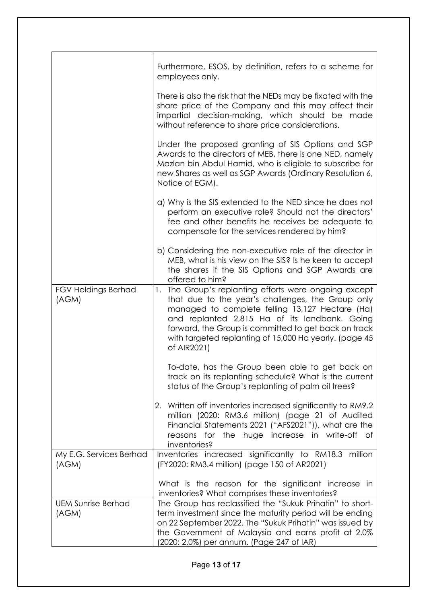|                                     | Furthermore, ESOS, by definition, refers to a scheme for<br>employees only.                                                                                                                                                                                                                                                                     |
|-------------------------------------|-------------------------------------------------------------------------------------------------------------------------------------------------------------------------------------------------------------------------------------------------------------------------------------------------------------------------------------------------|
|                                     | There is also the risk that the NEDs may be fixated with the<br>share price of the Company and this may affect their<br>impartial decision-making, which should be made<br>without reference to share price considerations.                                                                                                                     |
|                                     | Under the proposed granting of SIS Options and SGP<br>Awards to the directors of MEB, there is one NED, namely<br>Mazlan bin Abdul Hamid, who is eligible to subscribe for<br>new Shares as well as SGP Awards (Ordinary Resolution 6,<br>Notice of EGM).                                                                                       |
|                                     | a) Why is the SIS extended to the NED since he does not<br>perform an executive role? Should not the directors'<br>fee and other benefits he receives be adequate to<br>compensate for the services rendered by him?                                                                                                                            |
|                                     | b) Considering the non-executive role of the director in<br>MEB, what is his view on the SIS? Is he keen to accept<br>the shares if the SIS Options and SGP Awards are<br>offered to him?                                                                                                                                                       |
| <b>FGV Holdings Berhad</b><br>(AGM) | 1. The Group's replanting efforts were ongoing except<br>that due to the year's challenges, the Group only<br>managed to complete felling 13,127 Hectare (Ha)<br>and replanted 2,815 Ha of its landbank. Going<br>forward, the Group is committed to get back on track<br>with targeted replanting of 15,000 Ha yearly. (page 45<br>of AIR2021) |
|                                     | To-date, has the Group been able to get back on<br>track on its replanting schedule? What is the current<br>status of the Group's replanting of palm oil trees?                                                                                                                                                                                 |
|                                     | 2. Written off inventories increased significantly to RM9.2<br>million (2020: RM3.6 million) (page 21 of Audited<br>Financial Statements 2021 ("AFS2021")), what are the<br>reasons for the huge increase in write-off of<br>inventories?                                                                                                       |
| My E.G. Services Berhad<br>(AGM)    | Inventories increased significantly to RM18.3 million<br>(FY2020: RM3.4 million) (page 150 of AR2021)                                                                                                                                                                                                                                           |
|                                     | What is the reason for the significant increase in<br>inventories? What comprises these inventories?                                                                                                                                                                                                                                            |
| <b>UEM Sunrise Berhad</b><br>(AGM)  | The Group has reclassified the "Sukuk Prihatin" to short-<br>term investment since the maturity period will be ending<br>on 22 September 2022. The "Sukuk Prihatin" was issued by<br>the Government of Malaysia and earns profit at 2.0%<br>(2020: 2.0%) per annum. (Page 247 of IAR)                                                           |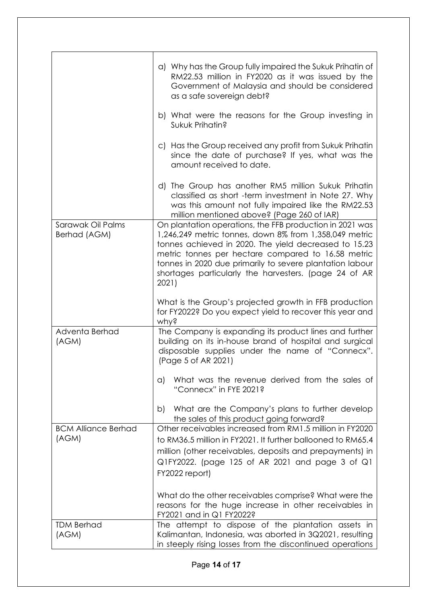|                                     | a) Why has the Group fully impaired the Sukuk Prihatin of<br>RM22.53 million in FY2020 as it was issued by the<br>Government of Malaysia and should be considered<br>as a safe sovereign debt?                                                                                                                                                                  |
|-------------------------------------|-----------------------------------------------------------------------------------------------------------------------------------------------------------------------------------------------------------------------------------------------------------------------------------------------------------------------------------------------------------------|
|                                     | b) What were the reasons for the Group investing in<br>Sukuk Prihatin?                                                                                                                                                                                                                                                                                          |
|                                     | c) Has the Group received any profit from Sukuk Prihatin<br>since the date of purchase? If yes, what was the<br>amount received to date.                                                                                                                                                                                                                        |
|                                     | d) The Group has another RM5 million Sukuk Prihatin<br>classified as short -term investment in Note 27. Why<br>was this amount not fully impaired like the RM22.53<br>million mentioned above? (Page 260 of IAR)                                                                                                                                                |
| Sarawak Oil Palms<br>Berhad (AGM)   | On plantation operations, the FFB production in 2021 was<br>1,246,249 metric tonnes, down 8% from 1,358,049 metric<br>tonnes achieved in 2020. The yield decreased to 15.23<br>metric tonnes per hectare compared to 16.58 metric<br>tonnes in 2020 due primarily to severe plantation labour<br>shortages particularly the harvesters. (page 24 of AR<br>2021) |
|                                     | What is the Group's projected growth in FFB production<br>for FY2022? Do you expect yield to recover this year and<br>why?                                                                                                                                                                                                                                      |
| Adventa Berhad<br>(AGM)             | The Company is expanding its product lines and further<br>building on its in-house brand of hospital and surgical<br>disposable supplies under the name of "Connecx".<br>(Page 5 of AR 2021)                                                                                                                                                                    |
|                                     | What was the revenue derived from the sales of<br>a)<br>"Connecx" in FYE 2021?                                                                                                                                                                                                                                                                                  |
|                                     | What are the Company's plans to further develop<br>b)<br>the sales of this product going forward?                                                                                                                                                                                                                                                               |
| <b>BCM Alliance Berhad</b><br>(AGM) | Other receivables increased from RM1.5 million in FY2020<br>to RM36.5 million in FY2021. It further ballooned to RM65.4<br>million (other receivables, deposits and prepayments) in<br>$Q1FY2022.$ (page 125 of AR 2021 and page 3 of $Q1$<br>FY2022 report)                                                                                                    |
|                                     | What do the other receivables comprise? What were the<br>reasons for the huge increase in other receivables in<br>FY2021 and in Q1 FY2022?                                                                                                                                                                                                                      |
| <b>TDM Berhad</b><br>(AGM)          | The attempt to dispose of the plantation assets in<br>Kalimantan, Indonesia, was aborted in 3Q2021, resulting<br>in steeply rising losses from the discontinued operations                                                                                                                                                                                      |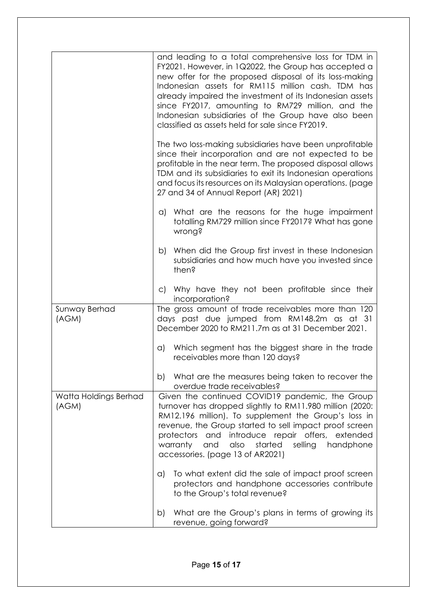|                                | and leading to a total comprehensive loss for TDM in<br>FY2021. However, in 1Q2022, the Group has accepted a<br>new offer for the proposed disposal of its loss-making<br>Indonesian assets for RM115 million cash. TDM has<br>already impaired the investment of its Indonesian assets<br>since FY2017, amounting to RM729 million, and the<br>Indonesian subsidiaries of the Group have also been<br>classified as assets held for sale since FY2019. |
|--------------------------------|---------------------------------------------------------------------------------------------------------------------------------------------------------------------------------------------------------------------------------------------------------------------------------------------------------------------------------------------------------------------------------------------------------------------------------------------------------|
|                                | The two loss-making subsidiaries have been unprofitable<br>since their incorporation and are not expected to be<br>profitable in the near term. The proposed disposal allows<br>TDM and its subsidiaries to exit its Indonesian operations<br>and focus its resources on its Malaysian operations. (page<br>27 and 34 of Annual Report (AR) 2021)                                                                                                       |
|                                | a) What are the reasons for the huge impairment<br>totalling RM729 million since FY2017? What has gone<br>wrong?                                                                                                                                                                                                                                                                                                                                        |
|                                | When did the Group first invest in these Indonesian<br>b)<br>subsidiaries and how much have you invested since<br>then?                                                                                                                                                                                                                                                                                                                                 |
|                                | c) Why have they not been profitable since their<br>incorporation?                                                                                                                                                                                                                                                                                                                                                                                      |
| Sunway Berhad<br>(AGM)         | The gross amount of trade receivables more than 120<br>days past due jumped from RM148.2m as at 31<br>December 2020 to RM211.7m as at 31 December 2021.                                                                                                                                                                                                                                                                                                 |
|                                | Which segment has the biggest share in the trade<br>a)<br>receivables more than 120 days?                                                                                                                                                                                                                                                                                                                                                               |
|                                | What are the measures being taken to recover the<br>b)<br>overdue trade receivables?                                                                                                                                                                                                                                                                                                                                                                    |
| Watta Holdings Berhad<br>(AGM) | Given the continued COVID19 pandemic, the Group<br>turnover has dropped slightly to RM11.980 million (2020:<br>RM12.196 million). To supplement the Group's loss in<br>revenue, the Group started to sell impact proof screen<br>protectors and introduce repair offers, extended<br>warranty<br>and<br>also<br>started<br>selling<br>handphone<br>accessories. (page 13 of AR2021)                                                                     |
|                                | To what extent did the sale of impact proof screen<br>a)<br>protectors and handphone accessories contribute<br>to the Group's total revenue?                                                                                                                                                                                                                                                                                                            |
|                                | What are the Group's plans in terms of growing its<br>b)<br>revenue, going forward?                                                                                                                                                                                                                                                                                                                                                                     |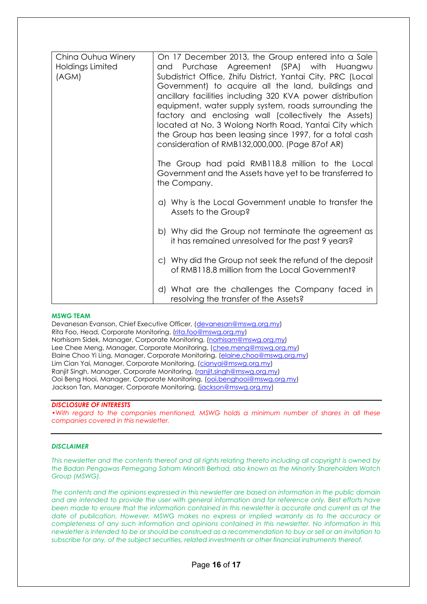| China Ouhua Winery<br>Holdings Limited<br>(AGM) | On 17 December 2013, the Group entered into a Sale<br>and Purchase Agreement (SPA) with Huangwu<br>Subdistrict Office, Zhifu District, Yantai City, PRC (Local<br>Government) to acquire all the land, buildings and<br>ancillary facilities including 320 KVA power distribution<br>equipment, water supply system, roads surrounding the<br>factory and enclosing wall (collectively the Assets)<br>located at No. 3 Wolong North Road, Yantai City which<br>the Group has been leasing since 1997, for a total cash<br>consideration of RMB132,000,000. (Page 87of AR) |
|-------------------------------------------------|---------------------------------------------------------------------------------------------------------------------------------------------------------------------------------------------------------------------------------------------------------------------------------------------------------------------------------------------------------------------------------------------------------------------------------------------------------------------------------------------------------------------------------------------------------------------------|
|                                                 | The Group had paid RMB118.8 million to the Local<br>Government and the Assets have yet to be transferred to<br>the Company.                                                                                                                                                                                                                                                                                                                                                                                                                                               |
|                                                 | a) Why is the Local Government unable to transfer the<br>Assets to the Group?                                                                                                                                                                                                                                                                                                                                                                                                                                                                                             |
|                                                 | b) Why did the Group not terminate the agreement as<br>it has remained unresolved for the past 9 years?                                                                                                                                                                                                                                                                                                                                                                                                                                                                   |
|                                                 | c) Why did the Group not seek the refund of the deposit<br>of RMB118.8 million from the Local Government?                                                                                                                                                                                                                                                                                                                                                                                                                                                                 |
|                                                 | d) What are the challenges the Company faced in<br>resolving the transfer of the Assets?                                                                                                                                                                                                                                                                                                                                                                                                                                                                                  |

#### **MSWG TEAM**

Devanesan Evanson, Chief Executive Officer, [\(devanesan@mswg.org.my\)](mailto:devanesan@mswg.org.my) Rita Foo, Head, Corporate Monitoring, [\(rita.foo@mswg.org.my\)](mailto:rita.foo@mswg.org.my) Norhisam Sidek, Manager, Corporate Monitoring, [\(norhisam@mswg.org.my\)](mailto:norhisam@mswg.org.my) Lee Chee Meng, Manager, Corporate Monitoring, [\(chee.meng@mswg.org.my\)](mailto:chee.meng@mswg.org.my) Elaine Choo Yi Ling, Manager, Corporate Monitoring, [\(elaine.choo@mswg.org.my\)](mailto:elaine.choo@mswg.org.my) Lim Cian Yai, Manager, Corporate Monitoring, [\(cianyai@mswg.org.my\)](mailto:cianyai@mswg.org.my) Ranjit Singh, Manager, Corporate Monitoring, [\(ranjit.singh@mswg.org.my\)](mailto:ranjit.singh@mswg.org.my) Ooi Beng Hooi, Manager, Corporate Monitoring, [\(ooi.benghooi@mswg.org.my\)](mailto:ooi.benghooi@mswg.org.my) Jackson Tan, Manager, Corporate Monitoring, [\(jackson@mswg.org.my\)](mailto:jackson@mswg.org.my)

#### *DISCLOSURE OF INTERESTS*

•Wi*th regard to the companies mentioned, MSWG holds a minimum number of shares in all these companies covered in this newsletter.* 

#### *DISCLAIMER*

*This newsletter and the contents thereof and all rights relating thereto including all copyright is owned by the Badan Pengawas Pemegang Saham Minoriti Berhad, also known as the Minority Shareholders Watch Group (MSWG).* 

*The contents and the opinions expressed in this newsletter are based on information in the public domain and are intended to provide the user with general information and for reference only. Best efforts have been made to ensure that the information contained in this newsletter is accurate and current as at the date of publication. However, MSWG makes no express or implied warranty as to the accuracy or completeness of any such information and opinions contained in this newsletter. No information in this newsletter is intended to be or should be construed as a recommendation to buy or sell or an invitation to subscribe for any, of the subject securities, related investments or other financial instruments thereof.*